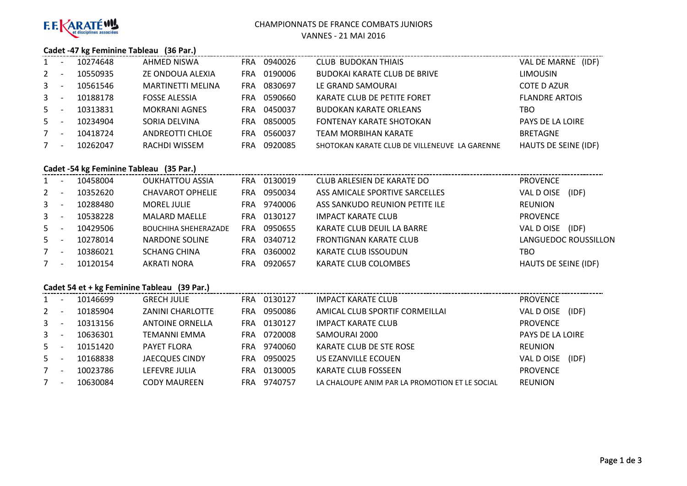

#### CHAMPIONNATS DE FRANCE COMBATS JUNIORS

VANNES - 21 MAI 2016

## **Cadet -47 kg Feminine Tableau (36 Par.)**

| 1              | 10274648 | AHMED NISWA              | FRA.       | 0940026 | <b>CLUB BUDOKAN THIAIS</b>                    | VAL DE MARNE (IDF)          |
|----------------|----------|--------------------------|------------|---------|-----------------------------------------------|-----------------------------|
| $2^{\circ}$    | 10550935 | ZE ONDOUA ALEXIA         | <b>FRA</b> | 0190006 | <b>BUDOKAI KARATE CLUB DE BRIVE</b>           | <b>LIMOUSIN</b>             |
| 3 <sup>7</sup> | 10561546 | <b>MARTINETTI MELINA</b> | FRA.       | 0830697 | LE GRAND SAMOURAI                             | <b>COTE D AZUR</b>          |
| 3 <sup>7</sup> | 10188178 | <b>FOSSE ALESSIA</b>     | <b>FRA</b> | 0590660 | KARATE CLUB DE PETITE FORET                   | <b>FLANDRE ARTOIS</b>       |
| $5 -$          | 10313831 | <b>MOKRANI AGNES</b>     | FRA        | 0450037 | <b>BUDOKAN KARATE ORLEANS</b>                 | TBO                         |
| $5 -$          | 10234904 | SORIA DELVINA            | <b>FRA</b> | 0850005 | FONTENAY KARATE SHOTOKAN                      | PAYS DE LA LOIRE            |
| $7^{\circ}$    | 10418724 | <b>ANDREOTTI CHLOE</b>   | <b>FRA</b> | 0560037 | <b>TEAM MORBIHAN KARATE</b>                   | <b>BRETAGNE</b>             |
| $7^{\circ}$    | 10262047 | RACHDI WISSEM            | FRA        | 0920085 | SHOTOKAN KARATE CLUB DE VILLENEUVE LA GARENNE | <b>HAUTS DE SEINE (IDF)</b> |

## **Cadet -54 kg Feminine Tableau (35 Par.)**

| 1              | $\overline{\phantom{a}}$ | 10458004 | <b>OUKHATTOU ASSIA</b>      | FRA. | 0130019 | CLUB ARLESIEN DE KARATE DO     | <b>PROVENCE</b>      |
|----------------|--------------------------|----------|-----------------------------|------|---------|--------------------------------|----------------------|
| $2^{\circ}$    |                          | 10352620 | <b>CHAVAROT OPHELIE</b>     | FRA  | 0950034 | ASS AMICALE SPORTIVE SARCELLES | (IDF)<br>VAL D OISE  |
| $\mathbf{3}$   | $\overline{\phantom{a}}$ | 10288480 | <b>MOREL JULIE</b>          | FRA  | 9740006 | ASS SANKUDO REUNION PETITE ILE | <b>REUNION</b>       |
| $3 -$          | $\overline{\phantom{a}}$ | 10538228 | <b>MALARD MAELLE</b>        | FRA  | 0130127 | IMPACT KARATE CLUB             | <b>PROVENCE</b>      |
| $5 -$          |                          | 10429506 | <b>BOUCHIHA SHEHERAZADE</b> | FRA  | 0950655 | KARATE CLUB DEUIL LA BARRE     | (IDF)<br>VAL D OISE  |
| $5 -$          |                          | 10278014 | NARDONE SOLINE              | FRA  | 0340712 | <b>FRONTIGNAN KARATE CLUB</b>  | LANGUEDOC ROUSSILLON |
| 7 <sup>7</sup> | $\overline{\phantom{a}}$ | 10386021 | <b>SCHANG CHINA</b>         | FRA  | 0360002 | KARATE CLUB ISSOUDUN           | TBO                  |
| $7^{\circ}$    | $\overline{\phantom{a}}$ | 10120154 | AKRATI NORA                 | FRA  | 0920657 | KARATE CLUB COLOMBES           | HAUTS DE SEINE (IDF) |

# **Cadet 54 et + kg Feminine Tableau (39 Par.)**

| $1 \quad$      | 10146699 | <b>GRECH JULIE</b>      | FRA | 0130127 | <b>IMPACT KARATE CLUB</b>                      | <b>PROVENCE</b>     |
|----------------|----------|-------------------------|-----|---------|------------------------------------------------|---------------------|
| $2^{\circ}$    | 10185904 | <b>ZANINI CHARLOTTE</b> | FRA | 0950086 | AMICAL CLUB SPORTIF CORMEILLAI                 | VAL D OISE<br>(IDF) |
| $\mathbf{3}$   | 10313156 | <b>ANTOINE ORNELLA</b>  | FRA | 0130127 | <b>IMPACT KARATE CLUB</b>                      | <b>PROVENCE</b>     |
| 3 <sup>1</sup> | 10636301 | TEMANNI EMMA            | FRA | 0720008 | SAMOURAI 2000                                  | PAYS DE LA LOIRE    |
| $5 -$          | 10151420 | <b>PAYET FLORA</b>      | FRA | 9740060 | KARATE CLUB DE STE ROSE                        | <b>REUNION</b>      |
| $5 -$          | 10168838 | JAECQUES CINDY          | FRA | 0950025 | US EZANVILLE ECOUEN                            | VAL D OISE<br>(IDF) |
| $7^{\circ}$    | 10023786 | LEFEVRE JULIA           | FRA | 0130005 | KARATE CLUB FOSSEEN                            | <b>PROVENCE</b>     |
|                | 10630084 | CODY MAUREEN            | FRA | 9740757 | LA CHALOUPE ANIM PAR LA PROMOTION ET LE SOCIAL | <b>REUNION</b>      |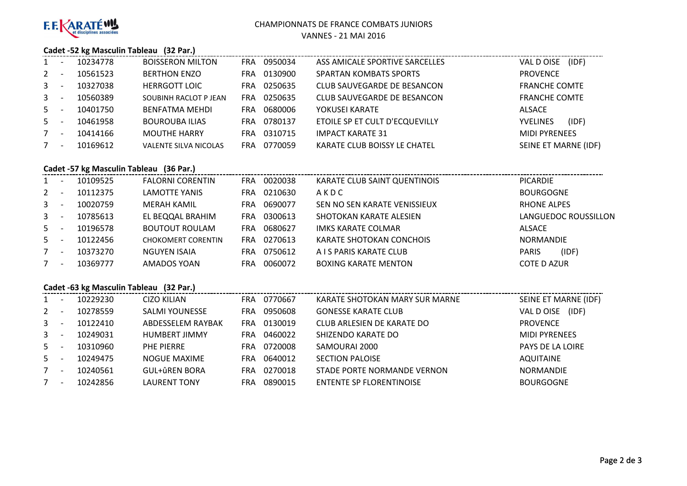

#### CHAMPIONNATS DE FRANCE COMBATS JUNIORS

VANNES - 21 MAI 2016

## **Cadet -52 kg Masculin Tableau (32 Par.)**

|              | 10234778 | <b>BOISSERON MILTON</b>      | <b>FRA</b> | 0950034 | ASS AMICALE SPORTIVE SARCELLES | (IDF)<br>VAL D OISE      |
|--------------|----------|------------------------------|------------|---------|--------------------------------|--------------------------|
| 2            | 10561523 | <b>BERTHON ENZO</b>          | FRA        | 0130900 | <b>SPARTAN KOMBATS SPORTS</b>  | <b>PROVENCE</b>          |
| $\mathbf{3}$ | 10327038 | <b>HERRGOTT LOIC</b>         | FRA        | 0250635 | CLUB SAUVEGARDE DE BESANCON    | <b>FRANCHE COMTE</b>     |
| $\mathbf{3}$ | 10560389 | SOUBINH RACLOT P JEAN        | FRA        | 0250635 | CLUB SAUVEGARDE DE BESANCON    | <b>FRANCHE COMTE</b>     |
| $5 -$        | 10401750 | BENFATMA MEHDI               | FRA        | 0680006 | YOKUSEI KARATE                 | ALSACE                   |
| $5 -$        | 10461958 | <b>BOUROUBA ILIAS</b>        | FRA        | 0780137 | ETOILE SP ET CULT D'ECQUEVILLY | (IDF)<br><b>YVELINES</b> |
| 7            | 10414166 | <b>MOUTHE HARRY</b>          | FRA        | 0310715 | <b>IMPACT KARATE 31</b>        | <b>MIDI PYRENEES</b>     |
| 7            | 10169612 | <b>VALENTE SILVA NICOLAS</b> | FRA        | 0770059 | KARATE CLUB BOISSY LE CHATEL   | SEINE ET MARNE (IDF)     |

# **Cadet -57 kg Masculin Tableau (36 Par.)**

| 1           | 10109525 | <b>FALORNI CORENTIN</b>   | FRA.       | 0020038 | KARATE CLUB SAINT QUENTINOIS | <b>PICARDIE</b>       |
|-------------|----------|---------------------------|------------|---------|------------------------------|-----------------------|
| $2^{\circ}$ | 10112375 | <b>LAMOTTE YANIS</b>      | FRA        | 0210630 | AKDC                         | <b>BOURGOGNE</b>      |
| $3^{\circ}$ | 10020759 | MERAH KAMIL               | FRA.       | 0690077 | SEN NO SEN KARATE VENISSIEUX | <b>RHONE ALPES</b>    |
| $3 -$       | 10785613 | EL BEQQAL BRAHIM          | <b>FRA</b> | 0300613 | SHOTOKAN KARATE ALESIEN      | LANGUEDOC ROUSSILLON  |
| $5 -$       | 10196578 | <b>BOUTOUT ROULAM</b>     | <b>FRA</b> | 0680627 | IMKS KARATE COLMAR           | ALSACE                |
| $5 -$       | 10122456 | <b>CHOKOMERT CORENTIN</b> | FRA        | 0270613 | KARATE SHOTOKAN CONCHOIS     | <b>NORMANDIE</b>      |
| $7^{\circ}$ | 10373270 | NGUYEN ISAIA              | FRA        | 0750612 | A I S PARIS KARATE CLUB      | (IDF)<br><b>PARIS</b> |
| 7           | 10369777 | AMADOS YOAN               | FRA        | 0060072 | <b>BOXING KARATE MENTON</b>  | <b>COTE D AZUR</b>    |
|             |          |                           |            |         |                              |                       |

## **Cadet -63 kg Masculin Tableau (32 Par.)**

|              | Cauel -05 Kg IVIdSCUIIII Tableau (52 Fail) |          |                       |            |         |                                 |                      |  |  |  |
|--------------|--------------------------------------------|----------|-----------------------|------------|---------|---------------------------------|----------------------|--|--|--|
| 1            |                                            | 10229230 | CIZO KILIAN           | <b>FRA</b> | 0770667 | KARATE SHOTOKAN MARY SUR MARNE  | SEINE ET MARNE (IDF) |  |  |  |
| 2            |                                            | 10278559 | <b>SALMI YOUNESSE</b> | FRA        | 0950608 | <b>GONESSE KARATE CLUB</b>      | (IDF)<br>VAL D OISE  |  |  |  |
| $\mathbf{3}$ |                                            | 10122410 | ABDESSELEM RAYBAK     | FRA        | 0130019 | CLUB ARLESIEN DE KARATE DO      | <b>PROVENCE</b>      |  |  |  |
| $\mathbf{3}$ |                                            | 10249031 | <b>HUMBERT JIMMY</b>  | FRA        | 0460022 | SHIZENDO KARATE DO              | <b>MIDI PYRENEES</b> |  |  |  |
| $5 -$        |                                            | 10310960 | <b>PHE PIERRE</b>     | FRA        | 0720008 | SAMOURAI 2000                   | PAYS DE LA LOIRE     |  |  |  |
| $5 -$        |                                            | 10249475 | NOGUE MAXIME          | <b>FRA</b> | 0640012 | <b>SECTION PALOISE</b>          | <b>AQUITAINE</b>     |  |  |  |
| 7            |                                            | 10240561 | GUL+ûREN BORA         | FRA        | 0270018 | STADE PORTE NORMANDE VERNON     | <b>NORMANDIE</b>     |  |  |  |
| $7^{\circ}$  |                                            | 10242856 | LAURENT TONY          | FRA        | 0890015 | <b>ENTENTE SP FLORENTINOISE</b> | <b>BOURGOGNE</b>     |  |  |  |
|              |                                            |          |                       |            |         |                                 |                      |  |  |  |